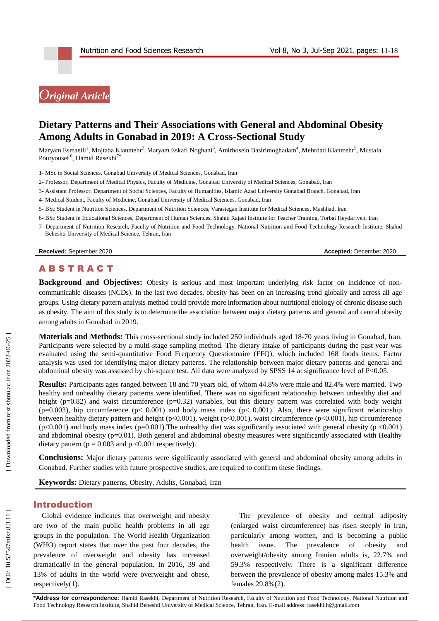# *Original Article*

# **Dietary Patterns and Their Associations with General and Abdominal Obesity Among Adults in Gonabad in 2019: A Cross -Sectional Study**

Maryam Esmaeili<sup>1</sup>, Mojtaba Kianmehr<sup>2</sup>, Maryam Eskafi Noghani<sup>3</sup>, Amirhosein Basirimoghadam<sup>4</sup>, Mehrdad Kianmehr<sup>5</sup>, Mustafa Pouryousef<sup>6</sup>, Hamid Rasekhi<sup>7\*</sup>

1 - MSc in Social Sciences, Gonabad University of Medical Sciences, Gonabad, Iran

- 2 Professor, Department of Medical Physics, Faculty of Medicine, Gonabad University of Medical Sciences, Gonabad, Iran
- 3 Assistant Professor, Department of Social Sciences, Faculty of Humanities, Islamic Azad University Gonabad Branch, Gonabad, Iran
- 4 Medical Student, Faculty of Medicine, Gonabad University of Medical Sciences, Gonabad, Iran
- 5 BSc Student in Nutrition Sciences. Department of Nutrition Sciences, Varastegan Institute for Medical Sciences, Mashhad, Iran
- 6 BSc Student in Educational Sciences, Department of Human Sciences, Shahid Rajaei Institute for Teacher Training, Torbat Heydariyeh, Iran
- 7 Department of Nutrition Research, Faculty of Nutrition and Food Technology, National Nutrition and Food Technology Research Institute, Shahid Beheshti University of Medical Science, Tehran, Iran

**Received:** September 2020 **Accepted:** December 2020

# A B S T R A C T

Background and Objectives: Obesity is serious and most important underlying risk factor on incidence of noncommunicable diseases (NCDs). In the last two decades, obesity has been on an increasing trend globally and across all age groups. Using dietary pattern analysis method could provide more information about nutritional etiology of chronic disease such as obesity. The aim of this study is to determine the association between major dietary patterns and general and central obesity among adults in Gonabad in 2019.

Materials and Methods: This cross-sectional study included 250 individuals aged 18-70 years living in Gonabad, Iran. Participants were selected by a multi-stage sampling method. The dietary intake of participants during the past year was evaluated using the semi -quantitative Food Frequency Questionnaire (FFQ), which included 168 foods items. Factor analysis was used for identifying major dietary patterns. The relationship between major dietary patterns and general and abdominal obesity was assessed by chi-square test. All data were analyzed by SPSS 14 at significance level of P<0.05.

**Results:** Participants ages ranged between 18 and 70 years old, of whom 44.8% were male and 82.4% were married. Two healthy and unhealthy dietary patterns were identified. There was no significant relationship between unhealthy diet and height ( $p=0.82$ ) and waist circumference ( $p=0.32$ ) variables, but this dietary pattern was correlated with body weight (p=0.003), hip circumference (p< 0.001) and body mass index (p< 0.001). Also, there were significant relationship between healthy dietary pattern and height (p<0.001), weight (p<0.001), waist circumference (p<0.001), hip circumference  $(p<0.001)$  and body mass index  $(p=0.001)$ . The unhealthy diet was significantly associated with general obesity  $(p < 0.001)$ and abdominal obesity (p=0.01). Both general and abdominal obesity measures were significantly associated with Healthy dietary pattern ( $p = 0.003$  and  $p < 0.001$  respectively).

**Conclusions:** Major dietary patterns were significantly associated with general and abdominal obesity among adults in Gonabad. Further studies with future prospective studies, are required to confirm these findings.

**Keywords:** Dietary patterns, Obesity, Adults, Gonabad, Iran

## Introduction

Global evidence indicates that overweight and obesity are two of the main public health problems in all age groups in the population. The World Health Organization (WHO) report states that over the past four decades, the prevalence of overweight and obesity has increased dramatically in the general population. In 2016, 39 and 13% of adults in the world were overweight and obese, respectively(1).

The prevalence of obesity and central adiposity (enlarged waist circumference) has risen steeply in Iran, particularly among women, and is becoming a public health issue. The prevalence of obesity and overweight/obesity among Iranian adults is, 22.7% and 59.3% respectively. There is a significant difference between the prevalence of obesity among males 15.3% and females 29.8%(2) .

**\*Address for correspondence:** Hamid Rasekhi, Department of Nutrition Research, Faculty of Nutrition and Food Technology, National Nutrition and Food Technology Research Institute, Shahid Beheshti University of Medical Science, Tehran, Iran. E-mail address: rasekhi.h@gmail.com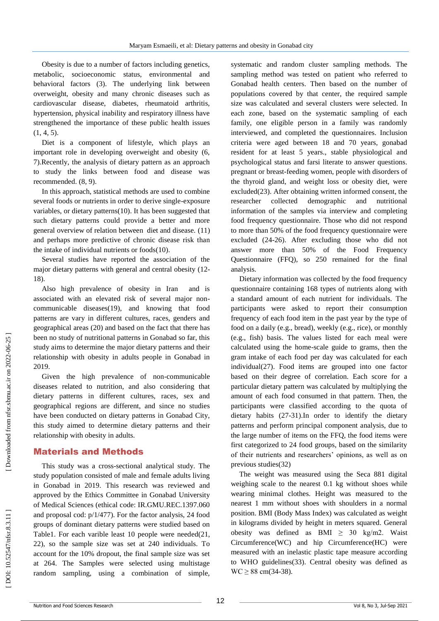Obesity is due to a number of factors including genetics, metabolic, socioeconomic status, environmental and behavioral factors (3). The underlying link between overweight, obesity and many chronic diseases such as cardiovascular disease, diabetes, rheumatoid arthritis, hypertension, physical inability and respiratory illness have strengthened the importance of these public health issues  $(1, 4, 5)$ .

Diet is a component of lifestyle, which plays an important role in developing overweight and obesity (6, 7).Recently, the analysis of dietary pattern as an approach to study the links between food and disease was recommended. (8, 9) .

In this approach, statistical methods are used to combine several foods or nutrients in order to derive single -exposure variables, or dietary patterns(10). It has been suggested that such dietary patterns could provide a better and more general overview of relation between diet and disease. (11) and perhaps more predictive of chronic disease risk than the intake of individual nutrients or foods(10).

Several studies have reported the association of the major dietary patterns with general and central obesity (12 - 18) .

Also high prevalence of obesity in Iran and is associated with an elevated risk of several major non communicable diseases(19), and knowing that food patterns are vary in different cultures, races, genders and geographical areas (20) and based on the fact that there has been no study of nutritional patterns in Gonabad so far, this study aims to determine the major dietary patterns and their relationship with obesity in adults people in Gonabad in 2019.

Given the high prevalence of non -communicable diseases related to nutrition, and also considering that dietary patterns in different cultures, races, sex and geographical regions are different, and since no studies have been conducted on dietary patterns in Gonabad City, this study aimed to determine dietary patterns and their relationship with obesity in adults.

# Material s and Methods

This study was a cross -sectional analytical study. The study population consisted of male and female adults living in Gonabad in 2019. This research was reviewed and approved by the Ethics Committee in Gonabad University of Medical Sciences (ethical code: IR.GMU.REC.1397.060 and proposal cod: p/1/477). For the factor analysis, 24 food groups of dominant dietary patterns were studied based on Table1. For each varible least 10 people were needed(21, 22), so the sample size was set at 240 individuals. To account for the 10% dropout, the final sample size was set at 264. The Samples were selected using multistage random sampling, using a combination of simple,

systematic and random cluster sampling methods. The sampling method was tested on patient who referred to Gonabad health centers. Then based on the number of populations covered by that center, the required sample size was calculated and several clusters were selected. In each zone, based on the systematic sampling of each family, one eligible person in a family was randomly interviewed, and completed the questionnaires. Inclusion criteria were aged between 18 and 70 years, gonabad resident for at least 5 years., stable physiological and psychological status and farsi literate to answer questions. pregnant or breast -feeding women, people with disorders of the thyroid gland, and weight loss or obesity diet, were excluded(23). After obtaining written informed consent, the researcher collected demographic and nutritional information of the samples via interview and completing food frequency questionnaire. Those who did not respond to more than 50% of the food frequency questionnaire were excluded (24 -26). After excluding those who did not answer more than 50% of the Food Frequency Questionnaire (FFQ), so 250 remained for the final analysis.

Dietary information was collected by the food frequency questionnaire containing 168 types of nutrients along with a standard amount of each nutrient for individuals. The participants were asked to report their consumption frequency of each food item in the past year by the type of food on a daily (e.g., bread), weekly (e.g., rice), or monthly (e.g., fish) basis. The values listed for each meal were calculated using the home -scale guide to grams, then the gram intake of each food per day was calculated for each individual(27). Food items are grouped into one factor based on their degree of correlation. Each score for a particular dietary pattern was calculated by multiplying the amount of each food consumed in that pattern. Then, the participants were classified according to the quota of dietary habits (27 -31).In order to identify the dietary patterns and perform principal component analysis, due to the large number of items on the FFQ, the food items were first categorized to 24 food groups, based on the similarity of their nutrients and researchers' opinions, as well as on previous studies(32)

The weight was measured using the Seca 881 digital weighing scale to the nearest 0.1 kg without shoes while wearing minimal clothes. Height was measured to the nearest 1 mm without shoes with shoulders in a normal position. BMI (Body Mass Index) was calculated as weight in kilograms divided by height in meters squared. General obesity was defined as BMI  $\geq$  30 kg/m2. Waist Circumference(WC) and hip Circumference(HC) were measured with an inelastic plastic tape measure according to WHO guidelines(33). Central obesity was defined as  $WC \ge 88$  cm(34-38).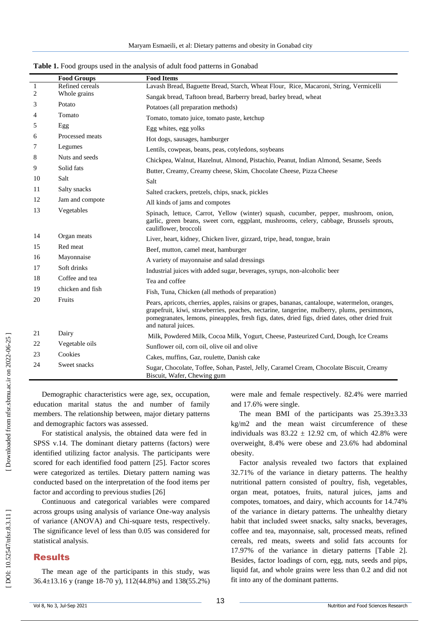|                | <b>Food Groups</b> | <b>Food Items</b>                                                                                                                                                                                                                                                                                                        |
|----------------|--------------------|--------------------------------------------------------------------------------------------------------------------------------------------------------------------------------------------------------------------------------------------------------------------------------------------------------------------------|
| $\mathbf{1}$   | Refined cereals    | Lavash Bread, Baguette Bread, Starch, Wheat Flour, Rice, Macaroni, String, Vermicelli                                                                                                                                                                                                                                    |
| $\overline{c}$ | Whole grains       | Sangak bread, Taftoon bread, Barberry bread, barley bread, wheat                                                                                                                                                                                                                                                         |
| 3              | Potato             | Potatoes (all preparation methods)                                                                                                                                                                                                                                                                                       |
| 4              | Tomato             | Tomato, tomato juice, tomato paste, ketchup                                                                                                                                                                                                                                                                              |
| 5              | Egg                | Egg whites, egg yolks                                                                                                                                                                                                                                                                                                    |
| 6              | Processed meats    | Hot dogs, sausages, hamburger                                                                                                                                                                                                                                                                                            |
| 7              | Legumes            | Lentils, cowpeas, beans, peas, cotyledons, soybeans                                                                                                                                                                                                                                                                      |
| 8              | Nuts and seeds     | Chickpea, Walnut, Hazelnut, Almond, Pistachio, Peanut, Indian Almond, Sesame, Seeds                                                                                                                                                                                                                                      |
| 9              | Solid fats         | Butter, Creamy, Creamy cheese, Skim, Chocolate Cheese, Pizza Cheese                                                                                                                                                                                                                                                      |
| 10             | Salt               | Salt                                                                                                                                                                                                                                                                                                                     |
| 11             | Salty snacks       | Salted crackers, pretzels, chips, snack, pickles                                                                                                                                                                                                                                                                         |
| 12             | Jam and compote    | All kinds of jams and compotes                                                                                                                                                                                                                                                                                           |
| 13             | Vegetables         | Spinach, lettuce, Carrot, Yellow (winter) squash, cucumber, pepper, mushroom, onion,<br>garlic, green beans, sweet corn, eggplant, mushrooms, celery, cabbage, Brussels sprouts,<br>cauliflower, broccoli                                                                                                                |
| 14             | Organ meats        | Liver, heart, kidney, Chicken liver, gizzard, tripe, head, tongue, brain                                                                                                                                                                                                                                                 |
| 15             | Red meat           | Beef, mutton, camel meat, hamburger                                                                                                                                                                                                                                                                                      |
| 16             | Mayonnaise         | A variety of mayonnaise and salad dressings                                                                                                                                                                                                                                                                              |
| 17             | Soft drinks        | Industrial juices with added sugar, beverages, syrups, non-alcoholic beer                                                                                                                                                                                                                                                |
| 18             | Coffee and tea     | Tea and coffee                                                                                                                                                                                                                                                                                                           |
| 19             | chicken and fish   | Fish, Tuna, Chicken (all methods of preparation)                                                                                                                                                                                                                                                                         |
| 20             | Fruits             | Pears, apricots, cherries, apples, raisins or grapes, bananas, cantaloupe, watermelon, oranges,<br>grapefruit, kiwi, strawberries, peaches, nectarine, tangerine, mulberry, plums, persimmons,<br>pomegranates, lemons, pineapples, fresh figs, dates, dried figs, dried dates, other dried fruit<br>and natural juices. |
| 21             | Dairy              | Milk, Powdered Milk, Cocoa Milk, Yogurt, Cheese, Pasteurized Curd, Dough, Ice Creams                                                                                                                                                                                                                                     |
| 22             | Vegetable oils     | Sunflower oil, corn oil, olive oil and olive                                                                                                                                                                                                                                                                             |
| 23             | Cookies            | Cakes, muffins, Gaz, roulette, Danish cake                                                                                                                                                                                                                                                                               |
| 24             | Sweet snacks       | Sugar, Chocolate, Toffee, Sohan, Pastel, Jelly, Caramel Cream, Chocolate Biscuit, Creamy<br>Biscuit, Wafer, Chewing gum                                                                                                                                                                                                  |

**Table 1.** Food groups used in the analysis of adult food patterns in Gonabad

Demographic characteristics were age, sex, occupation, education marital status the and number of family members. The relationship between, major dietary patterns and demographic factors was assessed.

For statistical analysis, the obtained data were fed in SPSS v.14. The dominant dietary patterns (factors) were identified utilizing factor analysis. The participants were scored for each identified food pattern [25]. Factor scores were categorized as tertiles. Dietary pattern naming was conducted based on the interpretation of the food items per factor and according to previous studies [26]

Continuous and categorical variables were compared across groups using analysis of variance One -way analysis of variance (ANOVA) and Chi -square tests, respectively. The significance level of less than 0.05 was considered for statistical analysis.

#### Results

The mean age of the participants in this study, was 36.4±13.16 y (range 18 -70 y), 112(44.8%) and 138(55.2%) were male and female respectively. 82.4% were married and 17.6% were single.

The mean BMI of the participants was 25.39±3.33 kg/m2 and the mean waist circumference of these individuals was  $83.22 \pm 12.92$  cm, of which 42.8% were overweight, 8.4% were obese and 23.6% had abdominal obesity.

Factor analysis revealed two factors that explained 32.71% of the variance in dietary patterns. The healthy nutritional pattern consisted of poultry, fish, vegetables, organ meat, potatoes, fruits, natural juices, jams and compotes, tomatoes, and dairy, which accounts for 14.74% of the variance in dietary patterns. The unhealthy dietary habit that included sweet snacks, salty snacks, beverages, coffee and tea, mayonnaise, salt, processed meats, refined cereals, red meats, sweets and solid fats accounts for 17.97% of the variance in dietary patterns [Table 2]. Besides, factor loadings of corn, egg, nuts, seeds and pips, liquid fat, and whole grains were less than 0.2 and did not fit into any of the dominant patterns.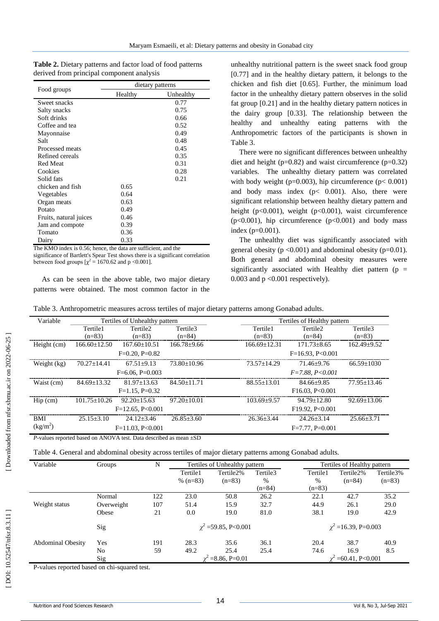| <b>Table 2.</b> Dietary patterns and factor load of food patterns |  |
|-------------------------------------------------------------------|--|
| derived from principal component analysis                         |  |

|                        | dietary patterns |           |  |  |  |
|------------------------|------------------|-----------|--|--|--|
| Food groups            | Healthy          | Unhealthy |  |  |  |
| Sweet snacks           |                  | 0.77      |  |  |  |
| Salty snacks           |                  | 0.75      |  |  |  |
| Soft drinks            |                  | 0.66      |  |  |  |
| Coffee and tea         |                  | 0.52      |  |  |  |
| Mayonnaise             |                  | 0.49      |  |  |  |
| Salt                   |                  | 0.48      |  |  |  |
| Processed meats        |                  | 0.45      |  |  |  |
| Refined cereals        |                  | 0.35      |  |  |  |
| <b>Red Meat</b>        |                  | 0.31      |  |  |  |
| Cookies                |                  | 0.28      |  |  |  |
| Solid fats             |                  | 0.21      |  |  |  |
| chicken and fish       | 0.65             |           |  |  |  |
| Vegetables             | 0.64             |           |  |  |  |
| Organ meats            | 0.63             |           |  |  |  |
| Potato                 | 0.49             |           |  |  |  |
| Fruits, natural juices | 0.46             |           |  |  |  |
| Jam and compote        | 0.39             |           |  |  |  |
| Tomato                 | 0.36             |           |  |  |  |
| Dairy                  | 0.33             |           |  |  |  |

The KMO index is 0.56; hence, the data are sufficient, and the significance of Bartlett's Spear Test shows there is a significant correlation between food groups  $[\chi^2 = 1670.62$  and p <0.001].

As can be seen in the above table, two major dietary patterns were obtained. The most common factor in the

unhealthy nutritional pattern is the sweet snack food group [0.77] and in the healthy dietary pattern, it belongs to the chicken and fish diet [0.65]. Further, the minimum load factor in the unhealthy dietary pattern observes in the solid fat group [0.21] and in the healthy dietary pattern notices in the dairy group [0.33]. The relationship between the healthy and unhealthy eating patterns with the Anthropometric factors of the participants is shown in Table 3.

There were no significant differences between unhealthy diet and height ( $p=0.82$ ) and waist circumference ( $p=0.32$ ) variables. The unhealthy dietary pattern was correlated with body weight (p=0.003), hip circumference (p $< 0.001$ ) and body mass index  $(p< 0.001)$ . Also, there were significant relationship between healthy dietary pattern and height (p<0.001), weight (p<0.001), waist circumference (p<0.001), hip circumference (p<0.001) and body mass index (p=0.001).

The unhealthy diet was significantly associated with general obesity ( $p < 0.001$ ) and abdominal obesity ( $p = 0.01$ ). Both general and abdominal obesity measures were significantly associated with Healthy diet pattern ( $p =$ 0.003 and  $p < 0.001$  respectively).

| Variable                           | Tertiles of Unhealthy pattern |                                                                                |                                  | Tertiles of Healthy pattern |                                  |                      |  |
|------------------------------------|-------------------------------|--------------------------------------------------------------------------------|----------------------------------|-----------------------------|----------------------------------|----------------------|--|
|                                    | Tertile1<br>$(n=83)$          | Tertile <sub>2</sub><br>$(n=83)$                                               | Tertile <sub>3</sub><br>$(n=84)$ | Tertile1<br>$(n=83)$        | Tertile <sub>2</sub><br>$(n=84)$ | Tertile3<br>$(n=83)$ |  |
| Height (cm)                        | $166.60 \pm 12.50$            | $167.60 \pm 10.51$                                                             | $166.78 \pm 9.66$                | $166.69 \pm 12.31$          | $171.73 \pm 8.65$                | $162.49 \pm 9.52$    |  |
|                                    | $F=0.20$ , $P=0.82$           |                                                                                |                                  | $F=16.93, P<0.001$          |                                  |                      |  |
| Weight (kg)                        | $70.27 \pm 14.41$             | $67.51 \pm 9.13$                                                               | $73.80 + 10.96$                  | $73.57 + 14.29$             | $71.46 \pm 9.76$                 | $66.59 \pm 1030$     |  |
|                                    |                               | $F=6.06$ , $P=0.003$                                                           |                                  |                             | $F = 7.88, P < 0.001$            |                      |  |
| Waist (cm)                         | $84.69 \pm 13.32$             | $81.97 + 13.63$                                                                | $84.50 \pm 11.71$                | $88.55 \pm 13.01$           | $84.66 \pm 9.85$                 | $77.95 \pm 13.46$    |  |
|                                    |                               | $F=1.15$ , $P=0.32$                                                            |                                  |                             | F16.03, P<0.001                  |                      |  |
| $\text{Hip}\left(\text{cm}\right)$ | $101.75 \pm 10.26$            | $92.20 \pm 15.63$                                                              | $97.20 \pm 10.01$                | $103.69 \pm 9.57$           | $94.79 \pm 12.80$                | $92.69 \pm 13.06$    |  |
|                                    | $F=12.65, P<0.001$            |                                                                                |                                  | F19.92, P<0.001             |                                  |                      |  |
| <b>BMI</b>                         | $25.15 + 3.10$                | $24.12 + 3.46$                                                                 | $26.85 + 3.60$                   | $26.36 \pm 3.44$            | $24.26 \pm 3.14$                 | $25.66 + 3.71$       |  |
| (kg/m <sup>2</sup> )               |                               | $F=11.03, P<0.001$                                                             |                                  |                             | $F=7.77$ , $P=0.001$             |                      |  |
|                                    |                               | <i>P</i> -values reported based on ANOVA test. Data described as mean $\pm SD$ |                                  |                             |                                  |                      |  |

Table 4. General and abdominal obesity across tertiles of major dietary patterns among Gonabad adults.

| Variable                 | Groups     | N   | Tertiles of Unhealthy pattern |           |          | Tertiles of Healthy pattern |           |           |
|--------------------------|------------|-----|-------------------------------|-----------|----------|-----------------------------|-----------|-----------|
|                          |            |     | Tertile1                      | Tertile2% | Tertile3 | Tertile1                    | Tertile2% | Tertile3% |
|                          |            |     | % $(n=83)$                    | $(n=83)$  | $\%$     | $\%$                        | $(n=84)$  | $(n=83)$  |
|                          |            |     |                               |           | $(n=84)$ | $(n=83)$                    |           |           |
|                          | Normal     | 122 | 23.0                          | 50.8      | 26.2     | 22.1                        | 42.7      | 35.2      |
| Weight status            | Overweight | 107 | 51.4                          | 15.9      | 32.7     | 44.9                        | 26.1      | 29.0      |
|                          | Obese      | 21  | 0.0                           | 19.0      | 81.0     | 38.1                        | 19.0      | 42.9      |
|                          | Sig        |     | $\chi^2$ =59.85, P<0.001      |           |          | $\chi^2$ =16.39, P=0.003    |           |           |
| <b>Abdominal Obesity</b> | Yes        | 191 | 28.3                          | 35.6      | 36.1     | 20.4                        | 38.7      | 40.9      |
|                          | No         | 59  | 49.2                          | 25.4      | 25.4     | 74.6                        | 16.9      | 8.5       |
|                          | Sig        |     | $= 8.86, P=0.01$              |           |          | $=60.41, P<0.001$           |           |           |

P -values reported based on chi -squared test.

DOI: 10.52547/nfsr.8.3.11]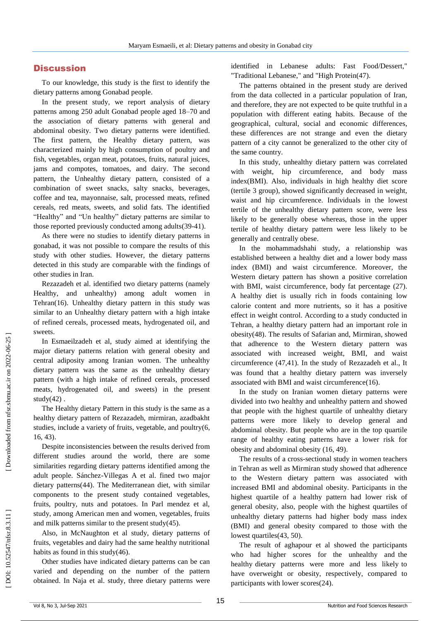## **Discussion**

To our knowledge, this study is the first to identify the dietary patterns among Gonabad people.

In the present study, we report analysis of dietary patterns among 250 adult Gonabad people aged 18 –70 and the association of dietary patterns with general and abdominal obesity. Two dietary patterns were identified. The first pattern, the Healthy dietary pattern, was characterized mainly by high consumption of poultry and fish, vegetables, organ meat, potatoes, fruits, natural juices, jams and compotes, tomatoes, and dairy. The second pattern, the Unhealthy dietary pattern, consisted of a combination of sweet snacks, salty snacks, beverages, coffee and tea, mayonnaise, salt, processed meats, refined cereals, red meats, sweets, and solid fats. The identified "Healthy" and "Un healthy" dietary patterns are similar to those reported previously conducted among adults(39-41).

As there were no studies to identify dietary patterns in gonabad, it was not possible to compare the results of this study with other studies. However, the dietary patterns detected in this study are comparable with the findings of other studies in Iran.

Rezazadeh et al. identified two dietary patterns (namely Healthy, and unhealthy) among adult women in Tehran(16). Unhealthy dietary pattern in this study was similar to an Unhealthy dietary pattern with a high intake of refined cereals, processed meats, hydrogenated oil, and sweets.

In Esmaeilzadeh et al, study aimed at identifying the major dietary patterns relation with general obesity and central adiposity among Iranian women. The unhealthy dietary pattern was the same as the unhealthy dietary pattern (with a high intake of refined cereals, processed meats, hydrogenated oil, and sweets) in the present study(42) .

The Healthy dietary Pattern in this study is the same as a healthy dietary pattern of Rezazadeh, mirmiran, azadbakht studies, include a variety of fruits, vegetable, and poultry(6, 16, 43) .

Despite inconsistencies between the results derived from different studies around the world, there are some similarities regarding dietary patterns identified among the adult people. Sánchez - [Villegas A](https://www.ncbi.nlm.nih.gov/pubmed/?term=S%C3%A1nchez-Villegas%20A%5BAuthor%5D&cauthor=true&cauthor_uid=12571661) et al. fined two major dietary patterns(44). The Mediterranean diet, with similar components to the present study contained vegetables, fruits, poultry, nuts and potatoes. In Parl mendez et al, study, among American men and women, vegetables, fruits and milk patterns similar to the present study(45) .

Also, in McNaughton et al study, dietary patterns of fruits, vegetables and dairy had the same healthy nutritional habits as found in this study(46) .

Other studies have indicated dietary patterns can be can varied and depending on the number of the pattern obtained. In Naja et al. study, three dietary patterns were identified in Lebanese adults: Fast Food/Dessert," "Traditional Lebanese," and "High Protein(47) .

The patterns obtained in the present study are derived from the data collected in a particular population of Iran, and therefore, they are not expected to be quite truthful in a population with different eating habits. Because of the geographical, cultural, social and economic differences, these differences are not strange and even the dietary pattern of a city cannot be generalized to the other city of the same country.

In this study, unhealthy dietary pattern was correlated with weight, hip circumference, and body mass index(BMI). Also, individuals in high healthy diet score (tertile 3 group), showed significantly decreased in weight, waist and hip circumference. Individuals in the lowest tertile of the unhealthy dietary pattern score, were less likely to be generally obese whereas, those in the upper tertile of healthy dietary pattern were less likely to be generally and centrally obese.

In the mohammadshahi study, a relationship was established between a healthy diet and a lower body mass index (BMI) and waist circumference. Moreover, the Western dietary pattern has shown a positive correlation with BMI, waist circumference, body fat percentage (27). A healthy diet is usually rich in foods containing low calorie content and more nutrients, so it has a positive effect in weight control. According to a study conducted in Tehran, a healthy dietary pattern had an important role in obesity(48). The results of Safarian and, Mirmiran, showed that adherence to the Western dietary pattern was associated with increased weight, BMI, and waist circumference (47,41). In the study of Rezazadeh et al., It was found that a healthy dietary pattern was inversely associated with BMI and waist circumference(16) .

In the study on Iranian women dietary patterns were divided into two healthy and unhealthy pattern and showed that people with the highest quartile of unhealthy dietary patterns were more likely to develop general and abdominal obesity. But people who are in the top quartile range of healthy eating patterns have a lower risk for obesity and abdominal obesity (16, 49) .

The results of a cross -sectional study in women teachers in Tehran as well as Mirmiran study showed that adherence to the Western dietary pattern was associated with increased BMI and abdominal obesity. Participants in the highest quartile of a healthy pattern had lower risk of general obesity, also, people with the highest quartiles of unhealthy dietary patterns had higher body mass index (BMI) and general obesity compared to those with the lowest quartiles(43, 50) .

The result of aghapour et al showed the participants who had higher scores for the unhealthy and the healthy dietary patterns were more and less likely to have overweight or obesity, respectively, compared to participants with lower scores(24) .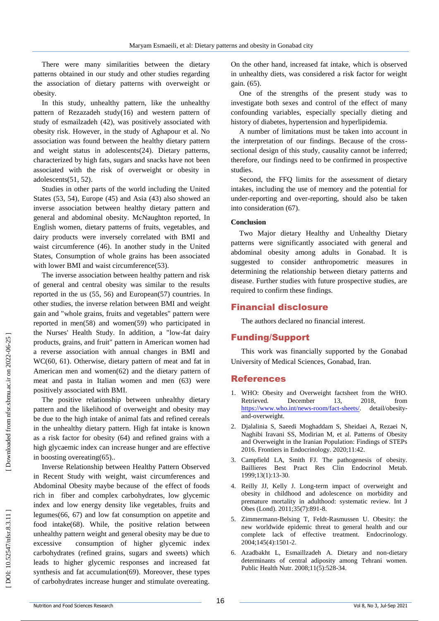There were many similarities between the dietary patterns obtained in our study and other studies regarding the association of dietary patterns with overweight or obesity.

In this study, unhealthy pattern, like the unhealthy pattern of Rezazadeh study (16) and western pattern of study of esmailzadeh (42), was positively associated with obesity risk . However, in the study of Aghapour et al. No association was found between the healthy dietary pattern and weight status in adolescents(24). Dietary patterns, characterized by high fats, sugars and snacks have not been associated with the risk of overweight or obesity in adolescents(51, 52) .

Studies in other parts of the world including the United States (53, 54), Europe (45) and Asia (43) also showed an inverse association between healthy dietary pattern and general and abdominal obesity. McNaughton reported, In English women, dietary patterns of fruits, vegetables, and dairy products were inversely correlated with BMI and waist circumference (46). In another study in the United States, Consumption of whole grains has been associated with lower BMI and waist circumference(53).

The inverse association between healthy pattern and risk of general and central obesity was similar to the results reported in the us (55, 56) and European(57) countries. In other studies, the inverse relation between BMI and weight gain and "whole grains, fruits and vegetables" pattern were reported in men(58) and women(59) who participated in the Nurses' Health Study. In addition, a "low -fat dairy products, grains, and fruit" pattern in American women had a reverse association with annual changes in BMI and WC(60, 61). Otherwise, dietary pattern of meat and fat in American men and women(62) and the dietary pattern of meat and pasta in Italian women and men (63) were positively associated with BMI.

The positive relationship between unhealthy dietary pattern and the likelihood of overweight and obesity may be due to the high intake of animal fats and refined cereals in the unhealthy dietary pattern. High fat intake is known as a risk factor for obesity (64) and refined grains with a high glycaemic index can increase hunger and are effective in boosting overeating(65)..

Inverse Relationship between Healthy Pattern Observed in Recent Study with weight, waist circumferences and Abdominal Obesity maybe because of the effect of foods rich in fiber and complex carbohydrates, low glycemic index and low energy density like vegetables, fruits and legumes(66, 67) and low fat consumption on appetite and food intake(68). While, the positive relation between unhealthy pattern weight and general obesity may be due to excessive consumption of higher glycemic index carbohydrates (refined grains, sugars and sweets) which leads to higher glycemic responses and increased fat synthesis and fat accumulation(69). Moreover, these types of carbohydrates increase hunger and stimulate overeating.

On the other hand, increased fat intake, which is observed in unhealthy diets, was considered a risk factor for weight gain. (65) .

One of the strengths of the present study was to investigate both sexes and control of the effect of many confounding variables, especially specially dieting and history of diabetes, hypertension and hyperlipidemia.

A number of limitations must be taken into account in the interpretation of our findings. Because of the cross sectional design of this study, causality cannot be inferred; therefore, our findings need to be confirmed in prospective studies.

Second, the FFQ limits for the assessment of dietary intakes, including the use of memory and the potential for under -reporting and over -reporting, should also be taken into consideration (67).

#### **Conclusion**

Two Major dietary Healthy and Unhealthy Dietary patterns were significantly associated with general and abdominal obesity among adults in Gonabad. It is suggested to consider anthropometric measures in determining the relationship between dietary patterns and disease. Further studies with future prospective studies, are required to confirm these findings.

#### Financial disclosure

The authors declared no financial interest.

### Funding/Support

This work was financially supported by the Gonabad University of Medical Sciences, Gonabad, Iran.

#### References

- 1. WHO: Obesity and Overweight factsheet from the WHO. Retrieved. December 13, 2018, from [https://www.who.int/news](https://www.who.int/news-room/fact-sheets/) -room/fact -sheets/ detail/obesityand -overweight.
- 2. Djalalinia S, Saeedi Moghaddam S, Sheidaei A, Rezaei N, Naghibi Iravani SS, Modirian M, et al. Patterns of Obesity and Overweight in the Iranian Population: Findings of STEPs 2016. Frontiers in Endocrinology. 2020;11:42.
- 3. Campfield LA, Smith FJ. The pathogenesis of obesity. Baillieres Best Pract Res Clin Endocrinol Metab. 1999;13(1):13 -30.
- 4. Reilly JJ, Kelly J. Long -term impact of overweight and obesity in childhood and adolescence on morbidity and premature mortality in adulthood: systematic review. Int J Obes (Lond). 2011;35(7):891 -8.
- 5. Zimmermann -Belsing T, Feldt -Rasmussen U. Obesity: the new worldwide epidemic threat to general health and our complete lack of effective treatment. Endocrinology. 2004;145(4):1501 -2.
- 6. Azadbakht L, Esmaillzadeh A. Dietary and non -dietary determinants of central adiposity among Tehrani women. Public Health Nutr. 2008;11(5):528 -34.

DOI: 10.52547/nfsr.8.3.11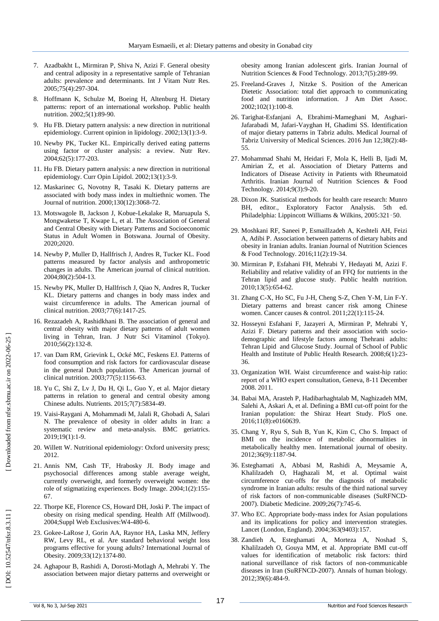- 7. Azadbakht L, Mirmiran P, Shiva N, Azizi F. General obesity and central adiposity in a representative sample of Tehranian adults: prevalence and determinants. Int J Vitam Nutr Res. 2005;75(4):297 -304.
- 8. Hoffmann K, Schulze M, Boeing H, Altenburg H. Dietary patterns: report of an international workshop. Public health nutrition. 2002;5(1):89 -90.
- 9. Hu FB. Dietary pattern analysis: a new direction in nutritional epidemiology. Current opinion in lipidology. 2002;13(1):3 -9.
- 10. Newby PK, Tucker KL. Empirically derived eating patterns using factor or cluster analysis: a review. Nutr Rev. 2004;62(5):177 -203.
- 11. Hu FB. Dietary pattern analysis: a new direction in nutritional epidemiology. Curr Opin Lipidol. 2002;13(1):3 -9.
- 12. Maskarinec G, Novotny R, Tasaki K. Dietary patterns are associated with body mass index in multiethnic women. The Journal of nutrition. 2000;130(12):3068 -72.
- 13. Motswagole B, Jackson J, Kobue -Lekalake R, Maruapula S, Mongwaketse T, Kwape L, et al. The Association of General and Central Obesity with Dietary Patterns and Socioeconomic Status in Adult Women in Botswana. Journal of Obesity. 2020;2020.
- 14. Newby P, Muller D, Hallfrisch J, Andres R, Tucker KL. Food patterns measured by factor analysis and anthropometric changes in adults. The American journal of clinical nutrition. 2004;80(2):504 -13.
- 15. Newby PK, Muller D, Hallfrisch J, Qiao N, Andres R, Tucker KL. Dietary patterns and changes in body mass index and waist circumference in adults. The American journal of clinical nutrition. 2003;77(6):1417 -25.
- 16. Rezazadeh A, Rashidkhani B. The association of general and central obesity with major dietary patterns of adult women living in Tehran, Iran. J Nutr Sci Vitaminol (Tokyo). 2010;56(2):132 -8.
- 17. van Dam RM, Grievink L, Ocké MC, Feskens EJ. Patterns of food consumption and risk factors for cardiovascular disease in the general Dutch population. The American journal of clinical nutrition. 2003;77(5):1156 -63.
- 18. Yu C, Shi Z, Lv J, Du H, Qi L, Guo Y, et al. Major dietary patterns in relation to general and central obesity among Chinese adults. Nutrients. 2015;7(7):5834 -49.
- 19. Vaisi -Raygani A, Mohammadi M, Jalali R, Ghobadi A, Salari N. The prevalence of obesity in older adults in Iran: a systematic review and meta -analysis. BMC geriatrics. 2019;19(1):1 -9.
- 20. Willett W. Nutritional epidemiology: Oxford university press; 2012.
- 21. Annis NM, Cash TF, Hrabosky JI. Body image and psychosocial differences among stable average weight, currently overweight, and formerly overweight women: the role of stigmatizing experiences. Body Image. 2004;1(2):155 - 67.
- 22. Thorpe KE, Florence CS, Howard DH, Joski P. The impact of obesity on rising medical spending. Health Aff (Millwood). 2004;Suppl Web Exclusives:W4 -480 -6.
- 23. Gokee -LaRose J, Gorin AA, Raynor HA, Laska MN, Jeffery RW, Levy RL, et al. Are standard behavioral weight loss programs effective for young adults? International Journal of Obesity. 2009;33(12):1374 -80.
- 24. Aghapour B, Rashidi A, Dorosti -Motlagh A, Mehrabi Y. The association between major dietary patterns and overweight or

obesity among Iranian adolescent girls. Iranian Journal of Nutrition Sciences & Food Technology. 2013;7(5):289 -99.

- 25. Freeland -Graves J, Nitzke S. Position of the American Dietetic Association: total diet approach to communicating food and nutrition information. J Am Diet Assoc. 2002;102(1):100 -8.
- 26. Tarighat -Esfanjani A, Ebrahimi -Mameghani M, Asghari Jafarabadi M, Jafari -Vayghan H, Ghadimi SS. Identification of major dietary patterns in Tabriz adults. Medical Journal of Tabriz University of Medical Sciences. 2016 Jun 12;38(2):48 - 55.
- 27. Mohammad Shahi M, Heidari F, Mola K, Helli B, Ijadi M, Amirian Z, et al. Association of Dietary Patterns and Indicators of Disease Activity in Patients with Rheumatoid Arthritis. Iranian Journal of Nutrition Sciences & Food Technology. 2014;9(3):9 -20.
- 28. Dixon JK. Statistical methods for health care research: Munro BH, editor., Exploratory Factor Analysis. 5th ed. Philadelphia: Lippincott Williams & Wilkins, 2005:321 –50.
- 29. Moshkani RF, Saneei P, Esmaillzadeh A, Keshteli AH, Feizi A, Adibi P. Association between patterns of dietary habits and obesity in Iranian adults. Iranian Journal of Nutrition Sciences & Food Technology. 2016;11(2):19 -34.
- 30. Mirmiran P, Esfahani FH, Mehrabi Y, Hedayati M, Azizi F. Reliability and relative validity of an FFQ for nutrients in the Tehran lipid and glucose study. Public health nutrition. 2010;13(5):654 -62.
- 31. Zhang C -X, Ho SC, Fu J -H, Cheng S -Z, Chen Y -M, Lin F -Y. Dietary patterns and breast cancer risk among Chinese women. Cancer causes & control. 2011;22(1):115 -24.
- 32. Hosseyni Esfahani F, Jazayeri A, Mirmiran P, Mehrabi Y, Azizi F. Dietary patterns and their association with socio demographic and lifestyle factors among Thehrani adults: Tehran Lipid and Glucose Study. Journal of School of Public Health and Institute of Public Health Research. 2008;6(1):23-36.
- 33. Organization WH. Waist circumference and waist -hip ratio: report of a WHO expert consultation, Geneva, 8 -11 December 2008. 2011.
- 34. Babai MA, Arasteh P, Hadibarhaghtalab M, Naghizadeh MM, Salehi A, Askari A, et al. Defining a BMI cut-off point for the Iranian population: the Shiraz Heart Study. PloS one. 2016;11(8):e0160639.
- 35. Chang Y, Ryu S, Suh B, Yun K, Kim C, Cho S. Impact of BMI on the incidence of metabolic abnormalities in metabolically healthy men. International journal of obesity. 2012;36(9):1187 -94.
- 36. Esteghamati A, Abbasi M, Rashidi A, Meysamie A, Khalilzadeh O, Haghazali M, et al. Optimal waist circumference cut ‐offs for the diagnosis of metabolic syndrome in Iranian adults: results of the third national survey of risk factors of non ‐communicable diseases (SuRFNCD ‐ 2007). Diabetic Medicine. 2009;26(7):745 -6.
- 37. Who EC. Appropriate body -mass index for Asian populations and its implications for policy and intervention strategies. Lancet (London, England). 2004;363(9403):157.
- 38. Zandieh A, Esteghamati A, Morteza A, Noshad S, Khalilzadeh O, Gouya MM, et al. Appropriate BMI cut -off values for identification of metabolic risk factors: third national surveillance of risk factors of non -communicable diseases in Iran (SuRFNCD -2007). Annals of human biology. 2012;39(6):484 -9.